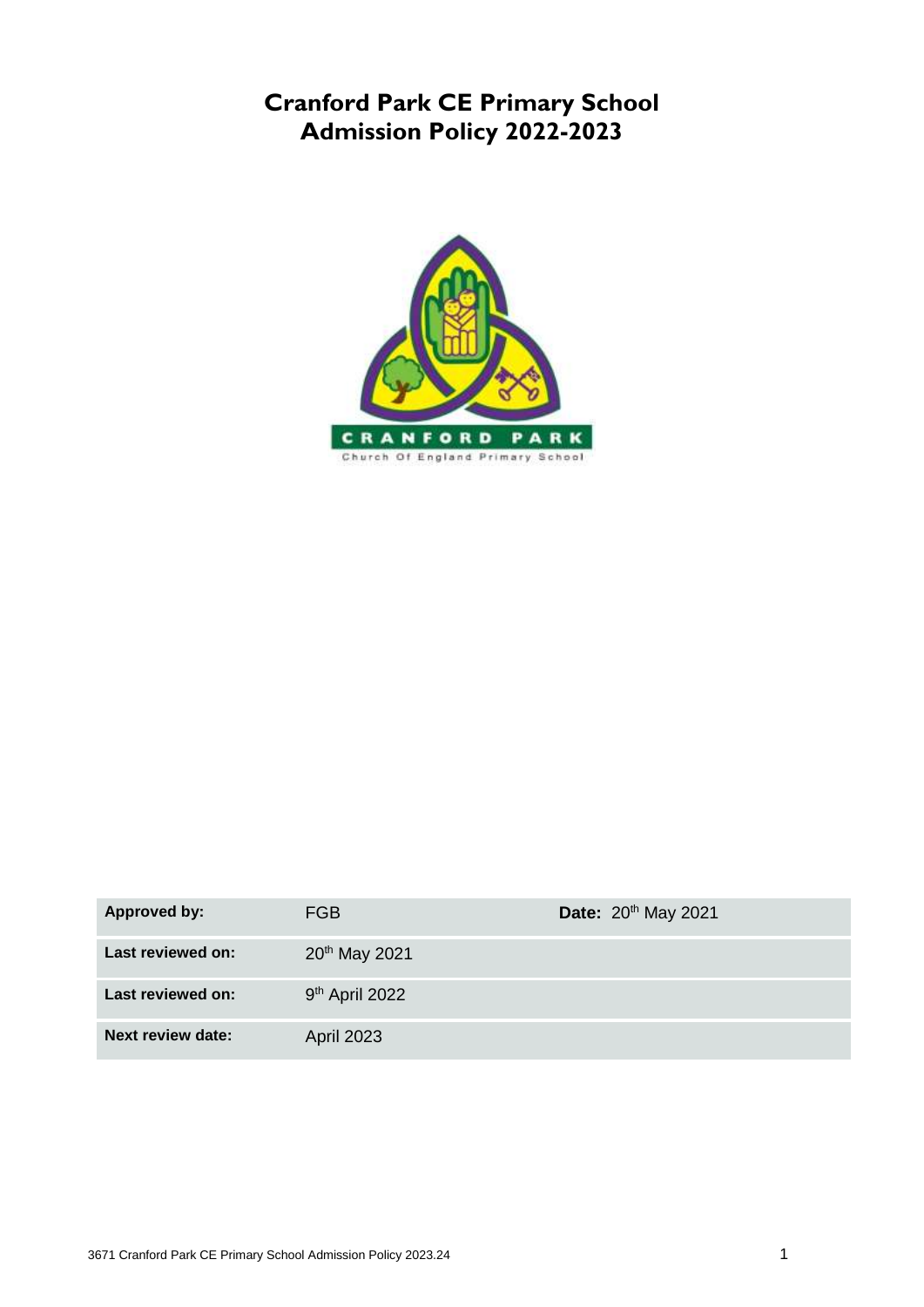# **Cranford Park CE Primary School Admission Policy 2022-2023**



| Approved by:             | FGB.                       | Date: 20 <sup>th</sup> May 2021 |
|--------------------------|----------------------------|---------------------------------|
| Last reviewed on:        | 20th May 2021              |                                 |
| Last reviewed on:        | 9 <sup>th</sup> April 2022 |                                 |
| <b>Next review date:</b> | <b>April 2023</b>          |                                 |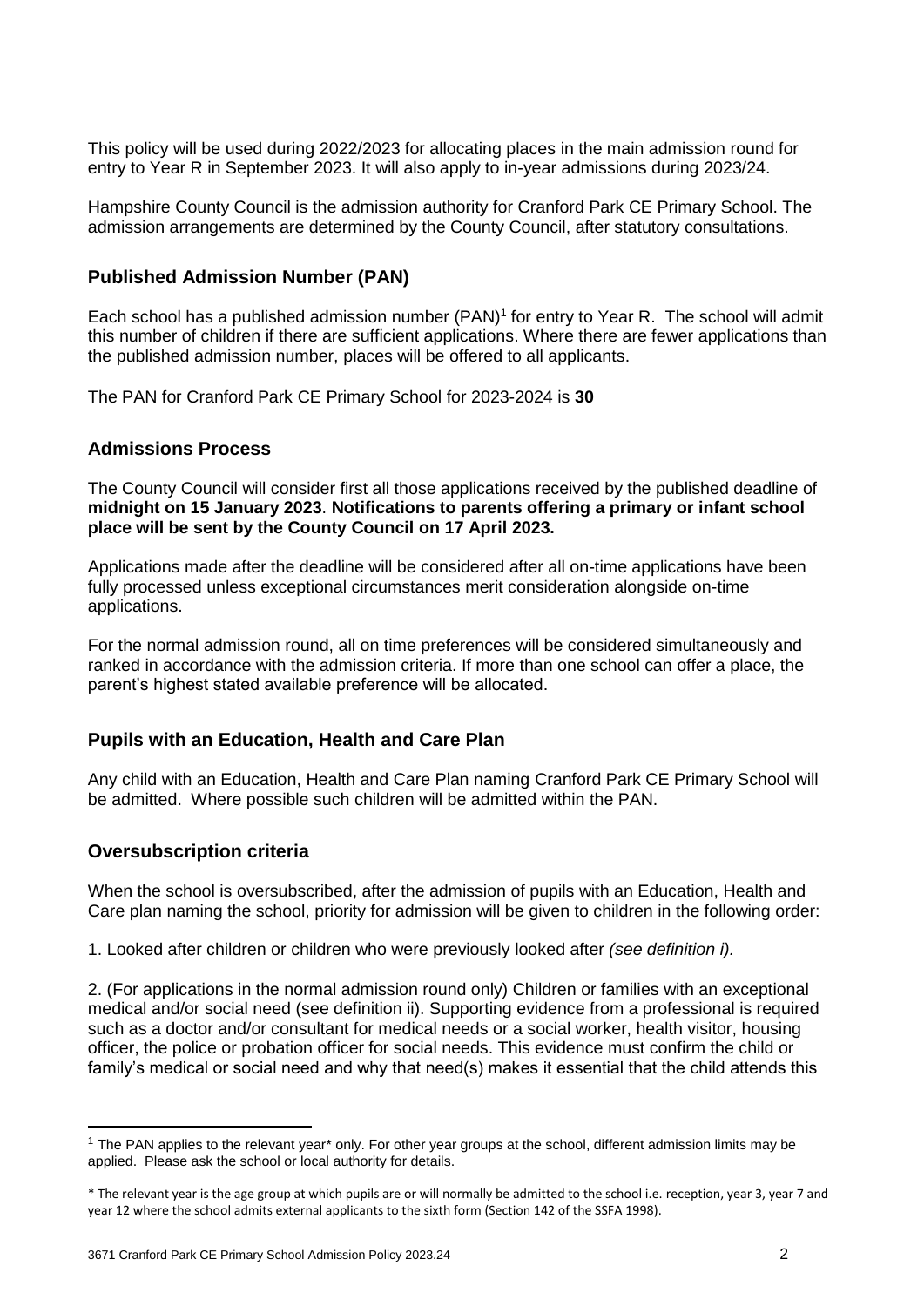This policy will be used during 2022/2023 for allocating places in the main admission round for entry to Year R in September 2023. It will also apply to in-year admissions during 2023/24.

Hampshire County Council is the admission authority for Cranford Park CE Primary School. The admission arrangements are determined by the County Council, after statutory consultations.

# **Published Admission Number (PAN)**

Each school has a published admission number (PAN)<sup>1</sup> for entry to Year R. The school will admit this number of children if there are sufficient applications. Where there are fewer applications than the published admission number, places will be offered to all applicants.

The PAN for Cranford Park CE Primary School for 2023-2024 is **30**

# **Admissions Process**

The County Council will consider first all those applications received by the published deadline of **midnight on 15 January 2023**. **Notifications to parents offering a primary or infant school place will be sent by the County Council on 17 April 2023.**

Applications made after the deadline will be considered after all on-time applications have been fully processed unless exceptional circumstances merit consideration alongside on-time applications.

For the normal admission round, all on time preferences will be considered simultaneously and ranked in accordance with the admission criteria. If more than one school can offer a place, the parent's highest stated available preference will be allocated.

# **Pupils with an Education, Health and Care Plan**

Any child with an Education, Health and Care Plan naming Cranford Park CE Primary School will be admitted. Where possible such children will be admitted within the PAN.

#### **Oversubscription criteria**

**.** 

When the school is oversubscribed, after the admission of pupils with an Education, Health and Care plan naming the school, priority for admission will be given to children in the following order:

1. Looked after children or children who were previously looked after *(see definition i).* 

2. (For applications in the normal admission round only) Children or families with an exceptional medical and/or social need (see definition ii). Supporting evidence from a professional is required such as a doctor and/or consultant for medical needs or a social worker, health visitor, housing officer, the police or probation officer for social needs. This evidence must confirm the child or family's medical or social need and why that need(s) makes it essential that the child attends this

<sup>1</sup> The PAN applies to the relevant year\* only. For other year groups at the school, different admission limits may be applied. Please ask the school or local authority for details.

<sup>\*</sup> The relevant year is the age group at which pupils are or will normally be admitted to the school i.e. reception, year 3, year 7 and year 12 where the school admits external applicants to the sixth form (Section 142 of the SSFA 1998).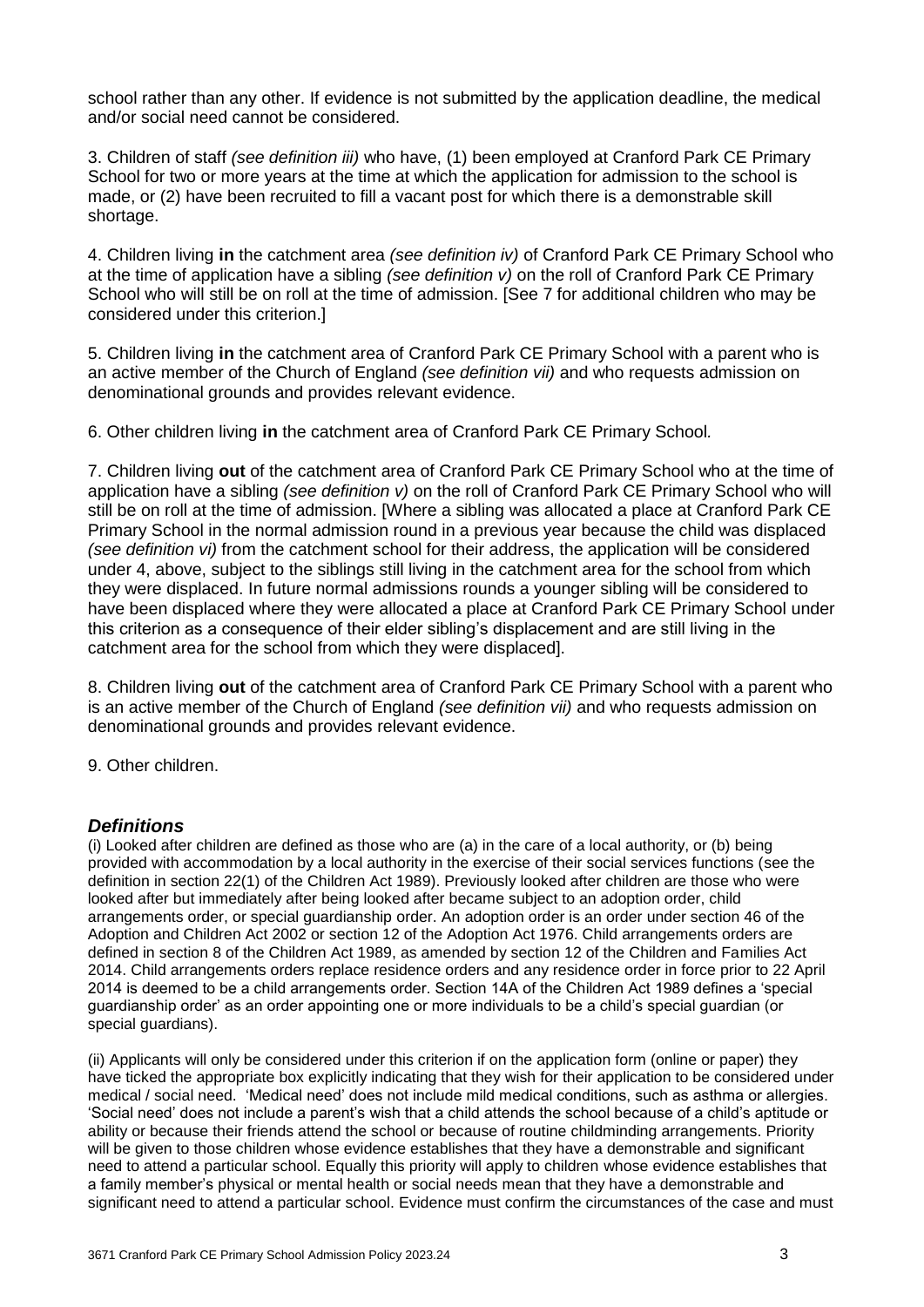school rather than any other. If evidence is not submitted by the application deadline, the medical and/or social need cannot be considered.

3. Children of staff *(see definition iii)* who have, (1) been employed at Cranford Park CE Primary School for two or more years at the time at which the application for admission to the school is made, or (2) have been recruited to fill a vacant post for which there is a demonstrable skill shortage.

4. Children living **in** the catchment area *(see definition iv)* of Cranford Park CE Primary School who at the time of application have a sibling *(see definition v)* on the roll of Cranford Park CE Primary School who will still be on roll at the time of admission. [See 7 for additional children who may be considered under this criterion.]

5. Children living **in** the catchment area of Cranford Park CE Primary School with a parent who is an active member of the Church of England *(see definition vii)* and who requests admission on denominational grounds and provides relevant evidence.

6. Other children living **in** the catchment area of Cranford Park CE Primary School*.*

7. Children living **out** of the catchment area of Cranford Park CE Primary School who at the time of application have a sibling *(see definition v)* on the roll of Cranford Park CE Primary School who will still be on roll at the time of admission. [Where a sibling was allocated a place at Cranford Park CE Primary School in the normal admission round in a previous year because the child was displaced *(see definition vi)* from the catchment school for their address, the application will be considered under 4, above, subject to the siblings still living in the catchment area for the school from which they were displaced. In future normal admissions rounds a younger sibling will be considered to have been displaced where they were allocated a place at Cranford Park CE Primary School under this criterion as a consequence of their elder sibling's displacement and are still living in the catchment area for the school from which they were displaced].

8. Children living **out** of the catchment area of Cranford Park CE Primary School with a parent who is an active member of the Church of England *(see definition vii)* and who requests admission on denominational grounds and provides relevant evidence.

9. Other children.

#### *Definitions*

(i) Looked after children are defined as those who are (a) in the care of a local authority, or (b) being provided with accommodation by a local authority in the exercise of their social services functions (see the definition in section 22(1) of the Children Act 1989). Previously looked after children are those who were looked after but immediately after being looked after became subject to an adoption order, child arrangements order, or special guardianship order. An adoption order is an order under section 46 of the Adoption and Children Act 2002 or section 12 of the Adoption Act 1976. Child arrangements orders are defined in section 8 of the Children Act 1989, as amended by section 12 of the Children and Families Act 2014. Child arrangements orders replace residence orders and any residence order in force prior to 22 April 2014 is deemed to be a child arrangements order. Section 14A of the Children Act 1989 defines a 'special guardianship order' as an order appointing one or more individuals to be a child's special guardian (or special quardians).

(ii) Applicants will only be considered under this criterion if on the application form (online or paper) they have ticked the appropriate box explicitly indicating that they wish for their application to be considered under medical / social need. 'Medical need' does not include mild medical conditions, such as asthma or allergies. 'Social need' does not include a parent's wish that a child attends the school because of a child's aptitude or ability or because their friends attend the school or because of routine childminding arrangements. Priority will be given to those children whose evidence establishes that they have a demonstrable and significant need to attend a particular school. Equally this priority will apply to children whose evidence establishes that a family member's physical or mental health or social needs mean that they have a demonstrable and significant need to attend a particular school. Evidence must confirm the circumstances of the case and must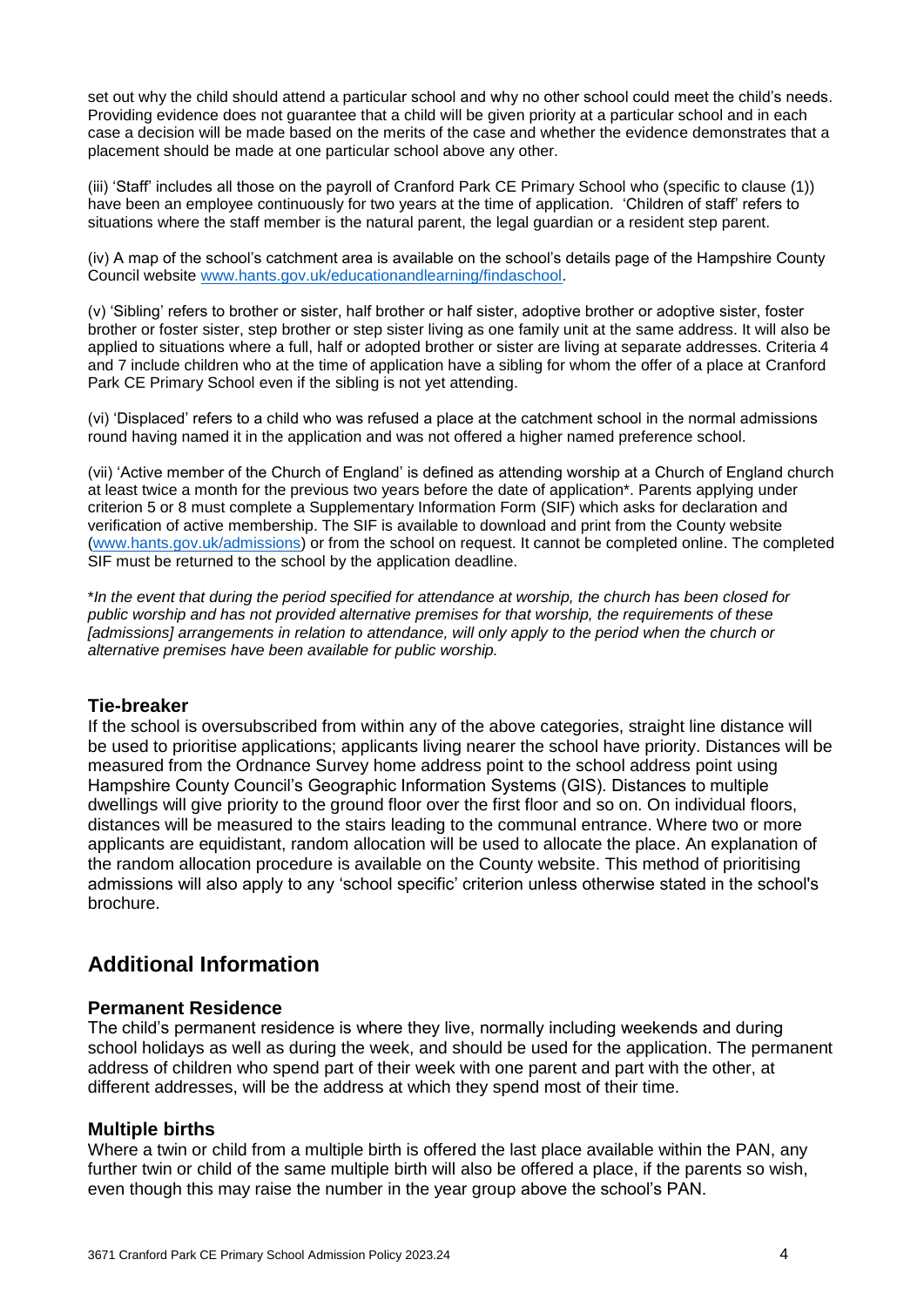set out why the child should attend a particular school and why no other school could meet the child's needs. Providing evidence does not guarantee that a child will be given priority at a particular school and in each case a decision will be made based on the merits of the case and whether the evidence demonstrates that a placement should be made at one particular school above any other.

(iii) 'Staff' includes all those on the payroll of Cranford Park CE Primary School who (specific to clause (1)) have been an employee continuously for two years at the time of application. 'Children of staff' refers to situations where the staff member is the natural parent, the legal guardian or a resident step parent.

(iv) A map of the school's catchment area is available on the school's details page of the Hampshire County Council website [www.hants.gov.uk/educationandlearning/findaschool.](http://www.hants.gov.uk/educationandlearning/findaschool)

(v) 'Sibling' refers to brother or sister, half brother or half sister, adoptive brother or adoptive sister, foster brother or foster sister, step brother or step sister living as one family unit at the same address. It will also be applied to situations where a full, half or adopted brother or sister are living at separate addresses. Criteria 4 and 7 include children who at the time of application have a sibling for whom the offer of a place at Cranford Park CE Primary School even if the sibling is not yet attending.

(vi) 'Displaced' refers to a child who was refused a place at the catchment school in the normal admissions round having named it in the application and was not offered a higher named preference school.

(vii) 'Active member of the Church of England' is defined as attending worship at a Church of England church at least twice a month for the previous two years before the date of application\*. Parents applying under criterion 5 or 8 must complete a Supplementary Information Form (SIF) which asks for declaration and verification of active membership. The SIF is available to download and print from the County website [\(www.hants.gov.uk/admissions\)](http://www.hants.gov.uk/admissions) or from the school on request. It cannot be completed online. The completed SIF must be returned to the school by the application deadline.

\**In the event that during the period specified for attendance at worship, the church has been closed for public worship and has not provided alternative premises for that worship, the requirements of these*  [admissions] arrangements in relation to attendance, will only apply to the period when the church or *alternative premises have been available for public worship.*

#### **Tie-breaker**

If the school is oversubscribed from within any of the above categories, straight line distance will be used to prioritise applications; applicants living nearer the school have priority. Distances will be measured from the Ordnance Survey home address point to the school address point using Hampshire County Council's Geographic Information Systems (GIS). Distances to multiple dwellings will give priority to the ground floor over the first floor and so on. On individual floors, distances will be measured to the stairs leading to the communal entrance. Where two or more applicants are equidistant, random allocation will be used to allocate the place. An explanation of the random allocation procedure is available on the County website. This method of prioritising admissions will also apply to any 'school specific' criterion unless otherwise stated in the school's brochure.

# **Additional Information**

#### **Permanent Residence**

The child's permanent residence is where they live, normally including weekends and during school holidays as well as during the week, and should be used for the application. The permanent address of children who spend part of their week with one parent and part with the other, at different addresses, will be the address at which they spend most of their time.

#### **Multiple births**

Where a twin or child from a multiple birth is offered the last place available within the PAN, any further twin or child of the same multiple birth will also be offered a place, if the parents so wish, even though this may raise the number in the year group above the school's PAN.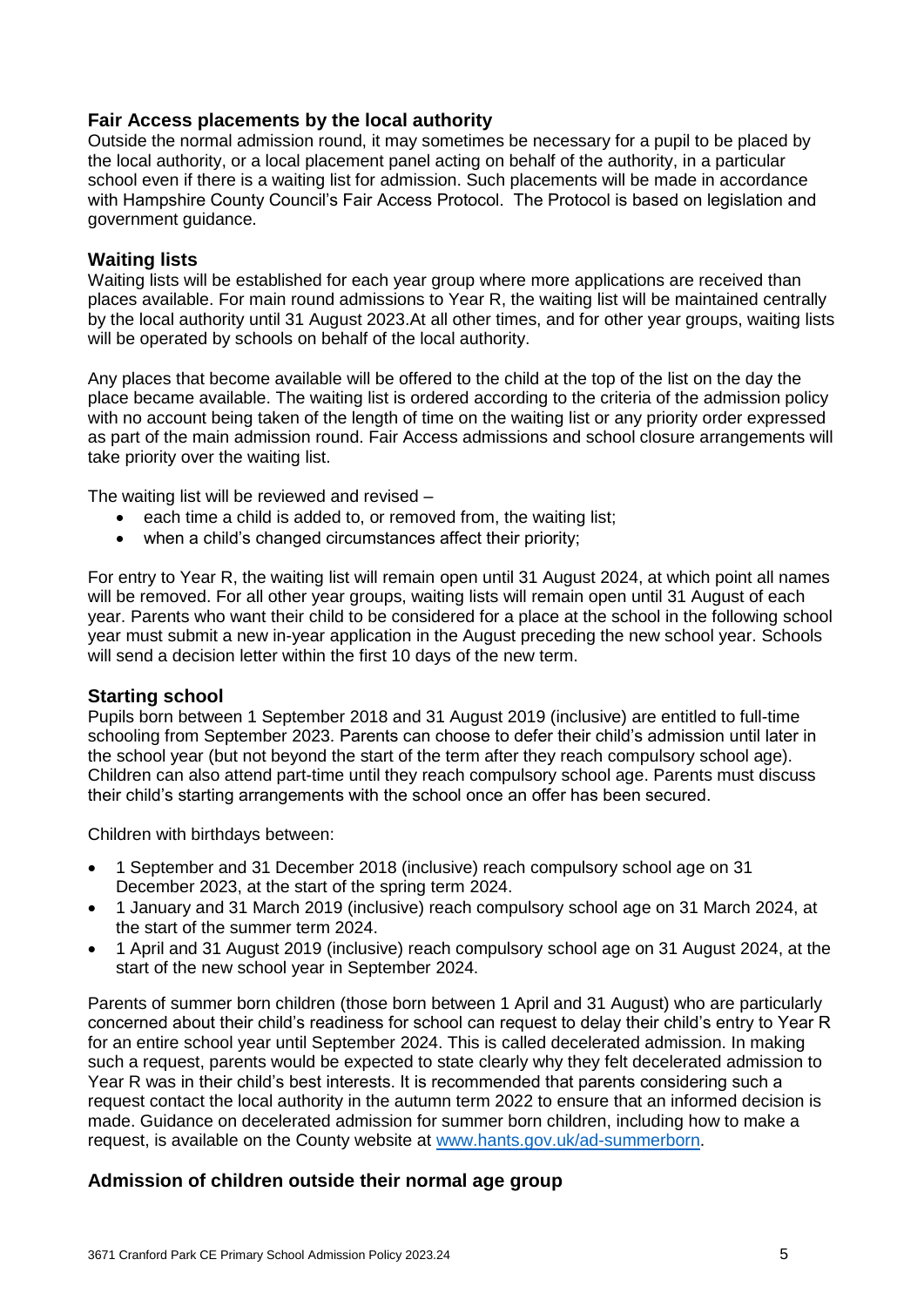# **Fair Access placements by the local authority**

Outside the normal admission round, it may sometimes be necessary for a pupil to be placed by the local authority, or a local placement panel acting on behalf of the authority, in a particular school even if there is a waiting list for admission. Such placements will be made in accordance with Hampshire County Council's Fair Access Protocol. The Protocol is based on legislation and government guidance.

# **Waiting lists**

Waiting lists will be established for each year group where more applications are received than places available. For main round admissions to Year R, the waiting list will be maintained centrally by the local authority until 31 August 2023.At all other times, and for other year groups, waiting lists will be operated by schools on behalf of the local authority.

Any places that become available will be offered to the child at the top of the list on the day the place became available. The waiting list is ordered according to the criteria of the admission policy with no account being taken of the length of time on the waiting list or any priority order expressed as part of the main admission round. Fair Access admissions and school closure arrangements will take priority over the waiting list.

The waiting list will be reviewed and revised –

- each time a child is added to, or removed from, the waiting list;
- when a child's changed circumstances affect their priority;

For entry to Year R, the waiting list will remain open until 31 August 2024, at which point all names will be removed. For all other year groups, waiting lists will remain open until 31 August of each year. Parents who want their child to be considered for a place at the school in the following school year must submit a new in-year application in the August preceding the new school year. Schools will send a decision letter within the first 10 days of the new term.

#### **Starting school**

Pupils born between 1 September 2018 and 31 August 2019 (inclusive) are entitled to full-time schooling from September 2023. Parents can choose to defer their child's admission until later in the school year (but not beyond the start of the term after they reach compulsory school age). Children can also attend part-time until they reach compulsory school age. Parents must discuss their child's starting arrangements with the school once an offer has been secured.

Children with birthdays between:

- 1 September and 31 December 2018 (inclusive) reach compulsory school age on 31 December 2023, at the start of the spring term 2024.
- 1 January and 31 March 2019 (inclusive) reach compulsory school age on 31 March 2024, at the start of the summer term 2024.
- 1 April and 31 August 2019 (inclusive) reach compulsory school age on 31 August 2024, at the start of the new school year in September 2024.

Parents of summer born children (those born between 1 April and 31 August) who are particularly concerned about their child's readiness for school can request to delay their child's entry to Year R for an entire school year until September 2024. This is called decelerated admission. In making such a request, parents would be expected to state clearly why they felt decelerated admission to Year R was in their child's best interests. It is recommended that parents considering such a request contact the local authority in the autumn term 2022 to ensure that an informed decision is made. Guidance on decelerated admission for summer born children, including how to make a request, is available on the County website at [www.hants.gov.uk/ad-summerborn.](http://www.hants.gov.uk/ad-summerborn)

# **Admission of children outside their normal age group**